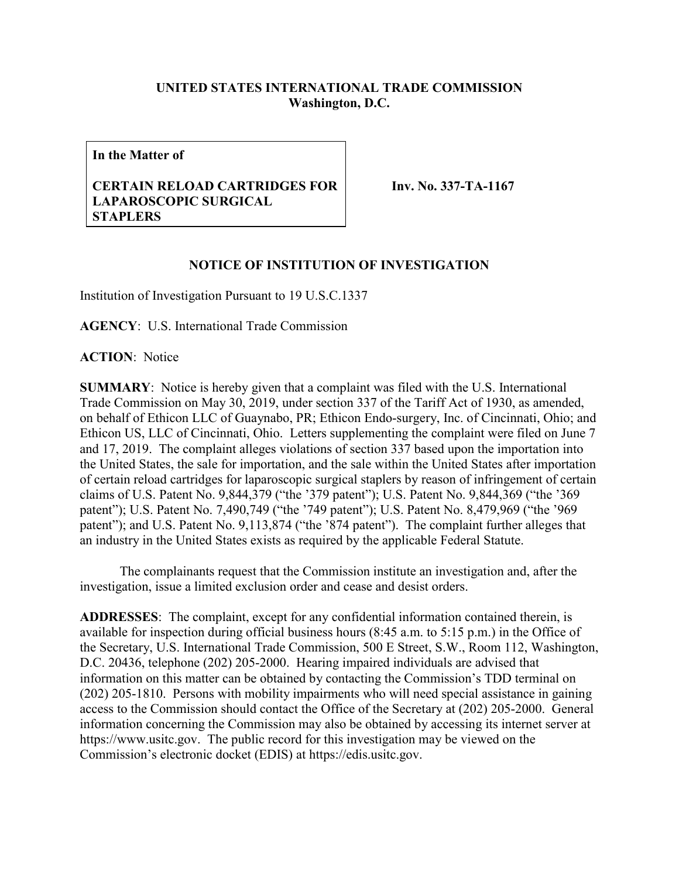## **UNITED STATES INTERNATIONAL TRADE COMMISSION Washington, D.C.**

**In the Matter of**

## **CERTAIN RELOAD CARTRIDGES FOR LAPAROSCOPIC SURGICAL STAPLERS**

**Inv. No. 337-TA-1167**

## **NOTICE OF INSTITUTION OF INVESTIGATION**

Institution of Investigation Pursuant to 19 U.S.C.1337

**AGENCY**: U.S. International Trade Commission

**ACTION**: Notice

**SUMMARY**: Notice is hereby given that a complaint was filed with the U.S. International Trade Commission on May 30, 2019, under section 337 of the Tariff Act of 1930, as amended, on behalf of Ethicon LLC of Guaynabo, PR; Ethicon Endo-surgery, Inc. of Cincinnati, Ohio; and Ethicon US, LLC of Cincinnati, Ohio. Letters supplementing the complaint were filed on June 7 and 17, 2019. The complaint alleges violations of section 337 based upon the importation into the United States, the sale for importation, and the sale within the United States after importation of certain reload cartridges for laparoscopic surgical staplers by reason of infringement of certain claims of U.S. Patent No. 9,844,379 ("the '379 patent"); U.S. Patent No. 9,844,369 ("the '369 patent"); U.S. Patent No. 7,490,749 ("the '749 patent"); U.S. Patent No. 8,479,969 ("the '969 patent"); and U.S. Patent No. 9,113,874 ("the '874 patent"). The complaint further alleges that an industry in the United States exists as required by the applicable Federal Statute.

The complainants request that the Commission institute an investigation and, after the investigation, issue a limited exclusion order and cease and desist orders.

**ADDRESSES**: The complaint, except for any confidential information contained therein, is available for inspection during official business hours (8:45 a.m. to 5:15 p.m.) in the Office of the Secretary, U.S. International Trade Commission, 500 E Street, S.W., Room 112, Washington, D.C. 20436, telephone (202) 205-2000. Hearing impaired individuals are advised that information on this matter can be obtained by contacting the Commission's TDD terminal on (202) 205-1810. Persons with mobility impairments who will need special assistance in gaining access to the Commission should contact the Office of the Secretary at (202) 205-2000. General information concerning the Commission may also be obtained by accessing its internet server at https://www.usitc.gov. The public record for this investigation may be viewed on the Commission's electronic docket (EDIS) at https://edis.usitc.gov.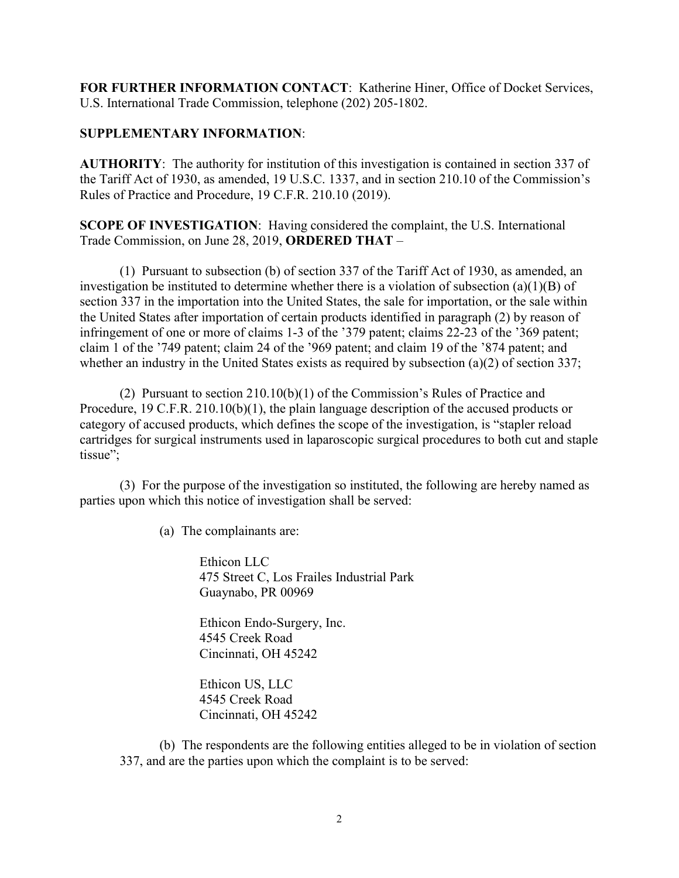**FOR FURTHER INFORMATION CONTACT**: Katherine Hiner, Office of Docket Services, U.S. International Trade Commission, telephone (202) 205-1802.

## **SUPPLEMENTARY INFORMATION**:

**AUTHORITY**: The authority for institution of this investigation is contained in section 337 of the Tariff Act of 1930, as amended, 19 U.S.C. 1337, and in section 210.10 of the Commission's Rules of Practice and Procedure, 19 C.F.R. 210.10 (2019).

**SCOPE OF INVESTIGATION**: Having considered the complaint, the U.S. International Trade Commission, on June 28, 2019, **ORDERED THAT** –

(1) Pursuant to subsection (b) of section 337 of the Tariff Act of 1930, as amended, an investigation be instituted to determine whether there is a violation of subsection (a)(1)(B) of section 337 in the importation into the United States, the sale for importation, or the sale within the United States after importation of certain products identified in paragraph (2) by reason of infringement of one or more of claims 1-3 of the '379 patent; claims 22-23 of the '369 patent; claim 1 of the '749 patent; claim 24 of the '969 patent; and claim 19 of the '874 patent; and whether an industry in the United States exists as required by subsection (a)(2) of section 337;

(2) Pursuant to section 210.10(b)(1) of the Commission's Rules of Practice and Procedure, 19 C.F.R. 210.10(b)(1), the plain language description of the accused products or category of accused products, which defines the scope of the investigation, is "stapler reload cartridges for surgical instruments used in laparoscopic surgical procedures to both cut and staple tissue":

(3) For the purpose of the investigation so instituted, the following are hereby named as parties upon which this notice of investigation shall be served:

(a) The complainants are:

Ethicon LLC 475 Street C, Los Frailes Industrial Park Guaynabo, PR 00969

Ethicon Endo-Surgery, Inc. 4545 Creek Road Cincinnati, OH 45242

Ethicon US, LLC 4545 Creek Road Cincinnati, OH 45242

(b) The respondents are the following entities alleged to be in violation of section 337, and are the parties upon which the complaint is to be served: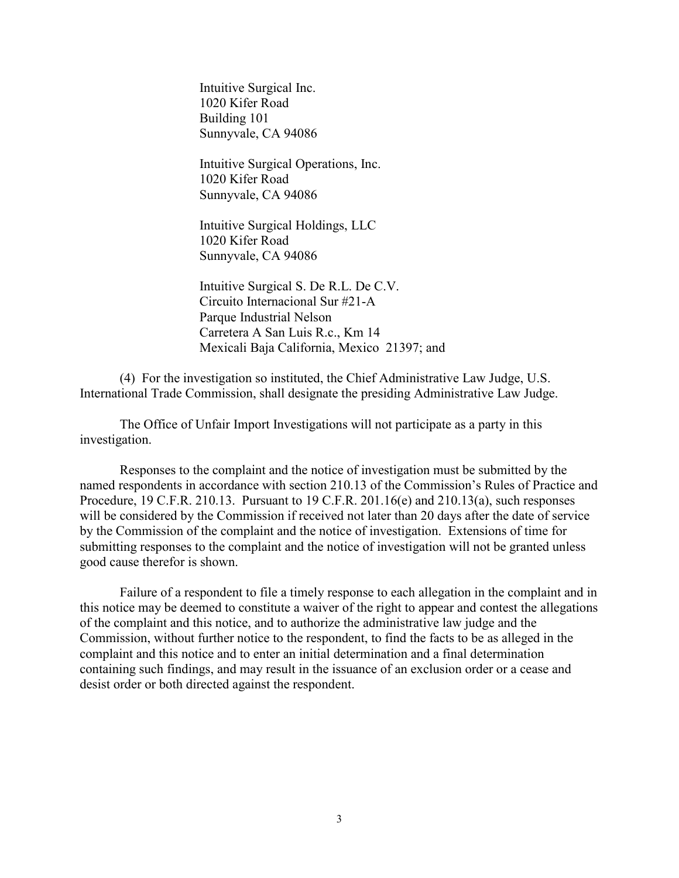Intuitive Surgical Inc. 1020 Kifer Road Building 101 Sunnyvale, CA 94086

Intuitive Surgical Operations, Inc. 1020 Kifer Road Sunnyvale, CA 94086

Intuitive Surgical Holdings, LLC 1020 Kifer Road Sunnyvale, CA 94086

Intuitive Surgical S. De R.L. De C.V. Circuito Internacional Sur #21-A Parque Industrial Nelson Carretera A San Luis R.c., Km 14 Mexicali Baja California, Mexico 21397; and

(4) For the investigation so instituted, the Chief Administrative Law Judge, U.S. International Trade Commission, shall designate the presiding Administrative Law Judge.

The Office of Unfair Import Investigations will not participate as a party in this investigation.

Responses to the complaint and the notice of investigation must be submitted by the named respondents in accordance with section 210.13 of the Commission's Rules of Practice and Procedure, 19 C.F.R. 210.13. Pursuant to 19 C.F.R. 201.16(e) and 210.13(a), such responses will be considered by the Commission if received not later than 20 days after the date of service by the Commission of the complaint and the notice of investigation. Extensions of time for submitting responses to the complaint and the notice of investigation will not be granted unless good cause therefor is shown.

Failure of a respondent to file a timely response to each allegation in the complaint and in this notice may be deemed to constitute a waiver of the right to appear and contest the allegations of the complaint and this notice, and to authorize the administrative law judge and the Commission, without further notice to the respondent, to find the facts to be as alleged in the complaint and this notice and to enter an initial determination and a final determination containing such findings, and may result in the issuance of an exclusion order or a cease and desist order or both directed against the respondent.